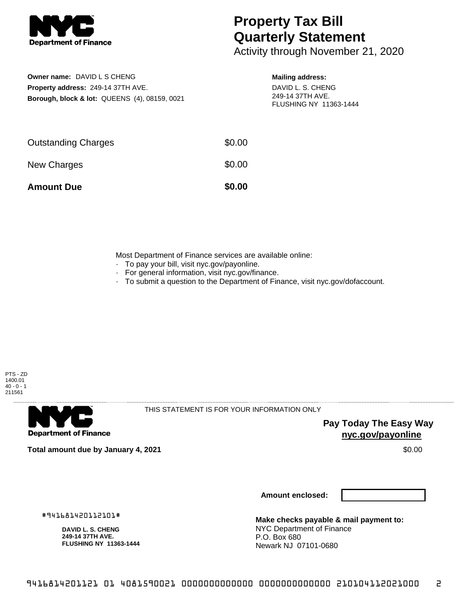

# **Property Tax Bill Quarterly Statement**

Activity through November 21, 2020

## **Owner name:** DAVID L S CHENG **Property address:** 249-14 37TH AVE. **Borough, block & lot:** QUEENS (4), 08159, 0021

#### **Mailing address:**

DAVID L. S. CHENG 249-14 37TH AVE. FLUSHING NY 11363-1444

| <b>Amount Due</b>          | \$0.00 |
|----------------------------|--------|
| New Charges                | \$0.00 |
| <b>Outstanding Charges</b> | \$0.00 |

Most Department of Finance services are available online:

- · To pay your bill, visit nyc.gov/payonline.
- For general information, visit nyc.gov/finance.
- · To submit a question to the Department of Finance, visit nyc.gov/dofaccount.





THIS STATEMENT IS FOR YOUR INFORMATION ONLY

**Pay Today The Easy Way nyc.gov/payonline**

**Total amount due by January 4, 2021** \$0.00

**Amount enclosed:**

#941681420112101#

**DAVID L. S. CHENG 249-14 37TH AVE. FLUSHING NY 11363-1444**

**Make checks payable & mail payment to:** NYC Department of Finance P.O. Box 680 Newark NJ 07101-0680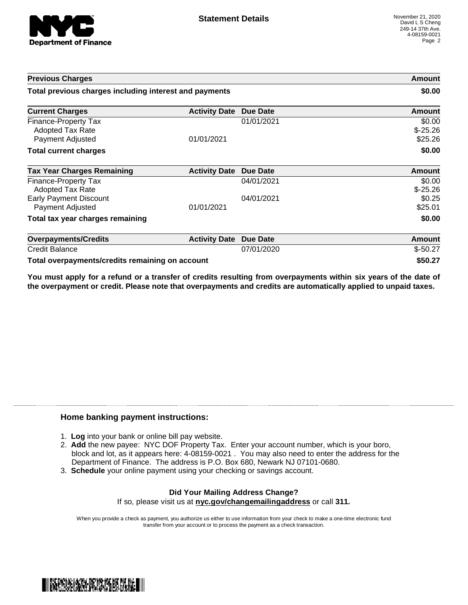

| <b>Previous Charges</b>                                             |                      |                 | Amount                         |
|---------------------------------------------------------------------|----------------------|-----------------|--------------------------------|
| Total previous charges including interest and payments              |                      |                 | \$0.00                         |
| <b>Current Charges</b>                                              | <b>Activity Date</b> | <b>Due Date</b> | Amount                         |
| Finance-Property Tax<br><b>Adopted Tax Rate</b><br>Payment Adjusted | 01/01/2021           | 01/01/2021      | \$0.00<br>$$-25.26$<br>\$25.26 |
| <b>Total current charges</b>                                        |                      |                 | \$0.00                         |
| <b>Tax Year Charges Remaining</b>                                   | <b>Activity Date</b> | Due Date        | Amount                         |
| Finance-Property Tax<br>Adopted Tax Rate                            |                      | 04/01/2021      | \$0.00<br>$$-25.26$            |
| <b>Early Payment Discount</b><br>Payment Adjusted                   | 01/01/2021           | 04/01/2021      | \$0.25<br>\$25.01              |
| Total tax year charges remaining                                    |                      |                 | \$0.00                         |
| <b>Overpayments/Credits</b>                                         | <b>Activity Date</b> | <b>Due Date</b> | Amount                         |
| <b>Credit Balance</b>                                               |                      | 07/01/2020      | $$-50.27$                      |
| Total overpayments/credits remaining on account                     |                      |                 | \$50.27                        |

You must apply for a refund or a transfer of credits resulting from overpayments within six years of the date of **the overpayment or credit. Please note that overpayments and credits are automatically applied to unpaid taxes.**

### **Home banking payment instructions:**

- 1. **Log** into your bank or online bill pay website.
- 2. **Add** the new payee: NYC DOF Property Tax. Enter your account number, which is your boro, block and lot, as it appears here: 4-08159-0021 . You may also need to enter the address for the Department of Finance. The address is P.O. Box 680, Newark NJ 07101-0680.
- 3. **Schedule** your online payment using your checking or savings account.

#### **Did Your Mailing Address Change?** If so, please visit us at **nyc.gov/changemailingaddress** or call **311.**

When you provide a check as payment, you authorize us either to use information from your check to make a one-time electronic fund transfer from your account or to process the payment as a check transaction.